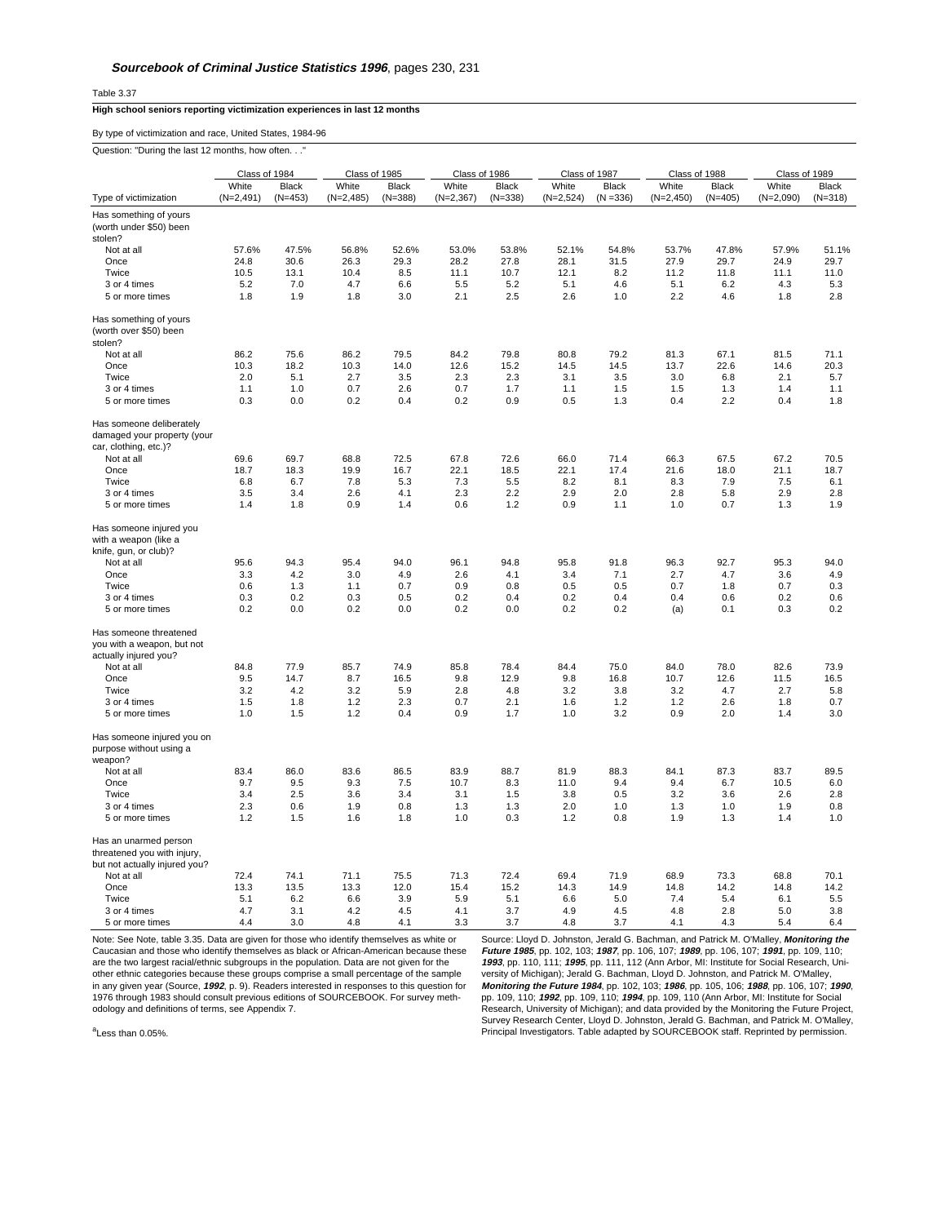Table 3.37

## **High school seniors reporting victimization experiences in last 12 months**

By type of victimization and race, United States, 1984-96

Question: "During the last 12 months, how often. . ."

|                                                                                       | Class of 1984 |              | Class of 1985 |              | Class of 1986 |              | Class of 1987 |             | Class of 1988 |              | Class of 1989 |              |
|---------------------------------------------------------------------------------------|---------------|--------------|---------------|--------------|---------------|--------------|---------------|-------------|---------------|--------------|---------------|--------------|
|                                                                                       | White         | <b>Black</b> | White         | <b>Black</b> | White         | <b>Black</b> | White         | Black       | White         | <b>Black</b> | White         | <b>Black</b> |
| Type of victimization                                                                 | $(N=2,491)$   | $(N=453)$    | $(N=2,485)$   | $(N=388)$    | $(N=2,367)$   | $(N=338)$    | $(N=2,524)$   | $(N = 336)$ | $(N=2,450)$   | $(N=405)$    | $(N=2,090)$   | $(N=318)$    |
| Has something of yours                                                                |               |              |               |              |               |              |               |             |               |              |               |              |
| (worth under \$50) been                                                               |               |              |               |              |               |              |               |             |               |              |               |              |
| stolen?                                                                               |               |              |               |              |               |              |               |             |               |              |               |              |
| Not at all                                                                            | 57.6%         | 47.5%        | 56.8%         | 52.6%        | 53.0%         | 53.8%        | 52.1%         | 54.8%       | 53.7%         | 47.8%        | 57.9%         | 51.1%        |
| Once                                                                                  | 24.8          | 30.6         | 26.3          | 29.3         | 28.2          | 27.8         | 28.1          | 31.5        | 27.9          | 29.7         | 24.9          | 29.7         |
| Twice                                                                                 | 10.5          | 13.1         | 10.4          | 8.5          | 11.1          | 10.7         | 12.1          | 8.2         | 11.2          | 11.8         | 11.1          | 11.0         |
| 3 or 4 times                                                                          | 5.2           | 7.0          | 4.7           | 6.6          | 5.5           | 5.2          | 5.1           | 4.6         | 5.1           | 6.2          | 4.3           | 5.3          |
| 5 or more times                                                                       | 1.8           | 1.9          | 1.8           | 3.0          | 2.1           | 2.5          | 2.6           | 1.0         | 2.2           | 4.6          | 1.8           | 2.8          |
| Has something of yours<br>(worth over \$50) been                                      |               |              |               |              |               |              |               |             |               |              |               |              |
| stolen?                                                                               |               |              |               |              |               |              |               |             |               |              |               |              |
| Not at all                                                                            | 86.2          | 75.6         | 86.2          | 79.5         | 84.2          | 79.8         | 80.8          | 79.2        | 81.3          | 67.1         | 81.5          | 71.1         |
| Once                                                                                  | 10.3          | 18.2         | 10.3          | 14.0         | 12.6          | 15.2         | 14.5          | 14.5        | 13.7          | 22.6         | 14.6          | 20.3         |
| Twice                                                                                 | 2.0           | 5.1          | 2.7           | 3.5          | 2.3           | 2.3          | 3.1           | 3.5         | 3.0           | 6.8          | 2.1           | 5.7          |
| 3 or 4 times                                                                          | 1.1           | 1.0          | 0.7           | 2.6          | 0.7           | 1.7          | 1.1           | 1.5         | 1.5           | 1.3          | 1.4           | 1.1          |
| 5 or more times                                                                       | 0.3           | 0.0          | 0.2           | 0.4          | 0.2           | 0.9          | 0.5           | 1.3         | 0.4           | 2.2          | 0.4           | 1.8          |
| Has someone deliberately<br>damaged your property (your<br>car, clothing, etc.)?      |               |              |               |              |               |              |               |             |               |              |               |              |
| Not at all                                                                            | 69.6          | 69.7         | 68.8          | 72.5         | 67.8          | 72.6         | 66.0          | 71.4        | 66.3          | 67.5         | 67.2          | 70.5         |
| Once                                                                                  | 18.7          | 18.3         | 19.9          | 16.7         | 22.1          | 18.5         | 22.1          | 17.4        | 21.6          | 18.0         | 21.1          | 18.7         |
| Twice                                                                                 | 6.8           | 6.7          | 7.8           | 5.3          | 7.3           | 5.5          | 8.2           | 8.1         | 8.3           | 7.9          | 7.5           | 6.1          |
|                                                                                       |               | 3.4          |               |              |               | 2.2          |               |             | 2.8           |              | 2.9           |              |
| 3 or 4 times<br>5 or more times                                                       | 3.5<br>1.4    | 1.8          | 2.6<br>0.9    | 4.1<br>1.4   | 2.3<br>0.6    | 1.2          | 2.9<br>0.9    | 2.0<br>1.1  | 1.0           | 5.8<br>0.7   | 1.3           | 2.8<br>1.9   |
|                                                                                       |               |              |               |              |               |              |               |             |               |              |               |              |
| Has someone injured you<br>with a weapon (like a<br>knife, gun, or club)?             |               |              |               |              |               |              |               |             |               |              |               |              |
| Not at all                                                                            | 95.6          | 94.3         | 95.4          | 94.0         | 96.1          | 94.8         | 95.8          | 91.8        | 96.3          | 92.7         | 95.3          | 94.0         |
| Once                                                                                  | 3.3           | 4.2          | 3.0           | 4.9          | 2.6           | 4.1          | 3.4           | 7.1         | 2.7           | 4.7          | 3.6           | 4.9          |
| Twice                                                                                 | 0.6           | 1.3          | 1.1           | 0.7          | 0.9           | 0.8          | 0.5           | 0.5         | 0.7           | 1.8          | 0.7           | 0.3          |
| 3 or 4 times                                                                          | 0.3           | 0.2          | 0.3           | 0.5          | 0.2           | 0.4          | 0.2           | 0.4         | 0.4           | 0.6          | 0.2           | 0.6          |
| 5 or more times                                                                       | 0.2           | 0.0          | 0.2           | 0.0          | 0.2           | 0.0          | 0.2           | 0.2         | (a)           | 0.1          | 0.3           | 0.2          |
|                                                                                       |               |              |               |              |               |              |               |             |               |              |               |              |
| Has someone threatened<br>you with a weapon, but not<br>actually injured you?         |               |              |               |              |               |              |               |             |               |              |               |              |
| Not at all                                                                            | 84.8          | 77.9         | 85.7          | 74.9         | 85.8          | 78.4         | 84.4          | 75.0        | 84.0          | 78.0         | 82.6          | 73.9         |
| Once                                                                                  | 9.5           | 14.7         | 8.7           | 16.5         | 9.8           | 12.9         | 9.8           | 16.8        | 10.7          | 12.6         | 11.5          | 16.5         |
| Twice                                                                                 | 3.2           | 4.2          | 3.2           | 5.9          | 2.8           | 4.8          | 3.2           | 3.8         | 3.2           | 4.7          | 2.7           | 5.8          |
| 3 or 4 times                                                                          | 1.5           | 1.8          | 1.2           | 2.3          | 0.7           | 2.1          | 1.6           | 1.2         | 1.2           | 2.6          | 1.8           | 0.7          |
| 5 or more times                                                                       | 1.0           | 1.5          | 1.2           | 0.4          | 0.9           | 1.7          | 1.0           | 3.2         | 0.9           | 2.0          | 1.4           | 3.0          |
| Has someone injured you on<br>purpose without using a<br>weapon?                      |               |              |               |              |               |              |               |             |               |              |               |              |
| Not at all                                                                            | 83.4          | 86.0         | 83.6          | 86.5         | 83.9          | 88.7         | 81.9          | 88.3        | 84.1          | 87.3         | 83.7          | 89.5         |
| Once                                                                                  | 9.7           | 9.5          | 9.3           | 7.5          | 10.7          | 8.3          | 11.0          | 9.4         | 9.4           | 6.7          | 10.5          | 6.0          |
| Twice                                                                                 | 3.4           | 2.5          | 3.6           | 3.4          | 3.1           | 1.5          | 3.8           | 0.5         | 3.2           | 3.6          | 2.6           | 2.8          |
| 3 or 4 times                                                                          | 2.3           | 0.6          | 1.9           | 0.8          | 1.3           | 1.3          | 2.0           | 1.0         | 1.3           | 1.0          | 1.9           | 0.8          |
| 5 or more times                                                                       | 1.2           | 1.5          | 1.6           | 1.8          | 1.0           | 0.3          | 1.2           | 0.8         | 1.9           | 1.3          | 1.4           | 1.0          |
| Has an unarmed person<br>threatened you with injury,<br>but not actually injured you? |               |              |               |              |               |              |               |             |               |              |               |              |
| Not at all                                                                            | 72.4          | 74.1         | 71.1          | 75.5         | 71.3          | 72.4         | 69.4          | 71.9        | 68.9          | 73.3         | 68.8          | 70.1         |
| Once                                                                                  | 13.3          | 13.5         | 13.3          | 12.0         | 15.4          | 15.2         | 14.3          | 14.9        | 14.8          | 14.2         | 14.8          | 14.2         |
| Twice                                                                                 | 5.1           | 6.2          | 6.6           | 3.9          | 5.9           | 5.1          | 6.6           | 5.0         | 7.4           | 5.4          | 6.1           | 5.5          |
| 3 or 4 times                                                                          | 4.7           | 3.1<br>3.0   | 4.2<br>4.8    | 4.5          | 4.1           | 3.7          | 4.9<br>4.8    | 4.5         | 4.8           | 2.8          | 5.0           | 3.8          |
| 5 or more times                                                                       | 4.4           |              |               | 4.1          | 3.3           | 3.7          |               | 3.7         | 4.1           | 4.3          | 5.4           | 6.4          |

Note: See Note, table 3.35. Data are given for those who identify themselves as white or Caucasian and those who identify themselves as black or African-American because these are the two largest racial/ethnic subgroups in the population. Data are not given for the other ethnic categories because these groups comprise a small percentage of the sample in any given year (Source, **1992**, p. 9). Readers interested in responses to this question for 1976 through 1983 should consult previous editions of SOURCEBOOK. For survey methodology and definitions of terms, see Appendix 7.

Source: Lloyd D. Johnston, Jerald G. Bachman, and Patrick M. O'Malley, **Monitoring the Future 1985**, pp. 102, 103; **1987**, pp. 106, 107; **1989**, pp. 106, 107; **1991**, pp. 109, 110; **1993**, pp. 110, 111; **1995**, pp. 111, 112 (Ann Arbor, MI: Institute for Social Research, University of Michigan); Jerald G. Bachman, Lloyd D. Johnston, and Patrick M. O'Malley,<br>**Monitoring the Future 1984**, pp. 102, 103; **1986**, pp. 105, 106; **1988**, pp. 106, 107; **1990**<br>pp. 109, 110; **1992**, pp. 109, 110; **1994** Principal Investigators. Table adapted by SOURCEBOOK staff. Reprinted by permission.

<sup>a</sup>Less than 0.05%.